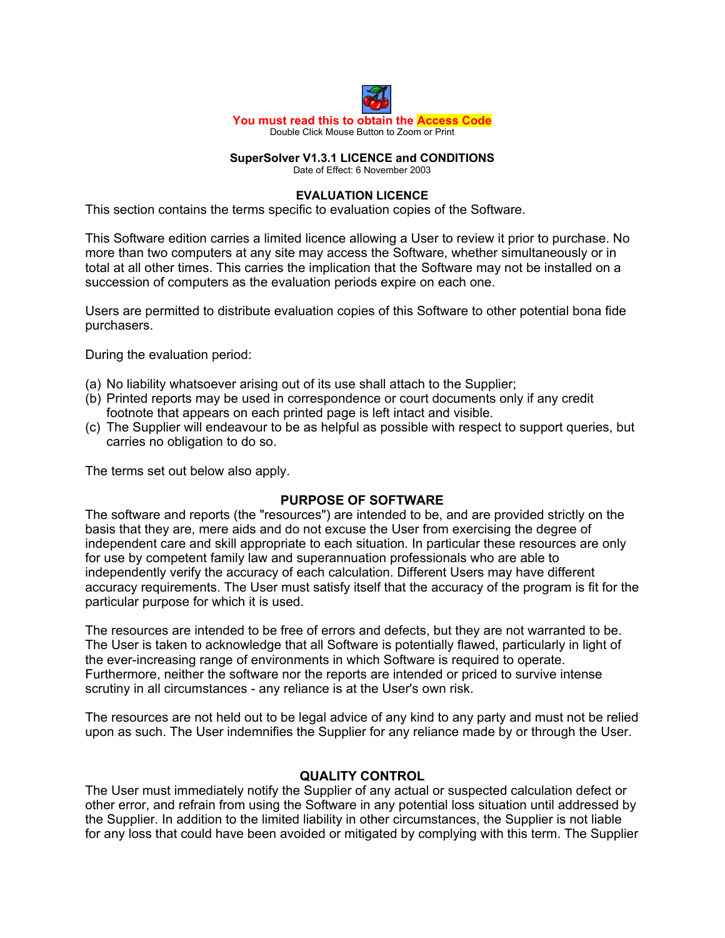

#### **SuperSolver V1.3.1 LICENCE and CONDITIONS** Date of Effect: 6 November 2003

#### **EVALUATION LICENCE**

This section contains the terms specific to evaluation copies of the Software.

This Software edition carries a limited licence allowing a User to review it prior to purchase. No more than two computers at any site may access the Software, whether simultaneously or in total at all other times. This carries the implication that the Software may not be installed on a succession of computers as the evaluation periods expire on each one.

Users are permitted to distribute evaluation copies of this Software to other potential bona fide purchasers.

During the evaluation period:

- (a) No liability whatsoever arising out of its use shall attach to the Supplier;
- (b) Printed reports may be used in correspondence or court documents only if any credit footnote that appears on each printed page is left intact and visible.
- (c) The Supplier will endeavour to be as helpful as possible with respect to support queries, but carries no obligation to do so.

The terms set out below also apply.

### **PURPOSE OF SOFTWARE**

The software and reports (the "resources") are intended to be, and are provided strictly on the basis that they are, mere aids and do not excuse the User from exercising the degree of independent care and skill appropriate to each situation. In particular these resources are only for use by competent family law and superannuation professionals who are able to independently verify the accuracy of each calculation. Different Users may have different accuracy requirements. The User must satisfy itself that the accuracy of the program is fit for the particular purpose for which it is used.

The resources are intended to be free of errors and defects, but they are not warranted to be. The User is taken to acknowledge that all Software is potentially flawed, particularly in light of the ever-increasing range of environments in which Software is required to operate. Furthermore, neither the software nor the reports are intended or priced to survive intense scrutiny in all circumstances - any reliance is at the User's own risk.

The resources are not held out to be legal advice of any kind to any party and must not be relied upon as such. The User indemnifies the Supplier for any reliance made by or through the User.

### **QUALITY CONTROL**

The User must immediately notify the Supplier of any actual or suspected calculation defect or other error, and refrain from using the Software in any potential loss situation until addressed by the Supplier. In addition to the limited liability in other circumstances, the Supplier is not liable for any loss that could have been avoided or mitigated by complying with this term. The Supplier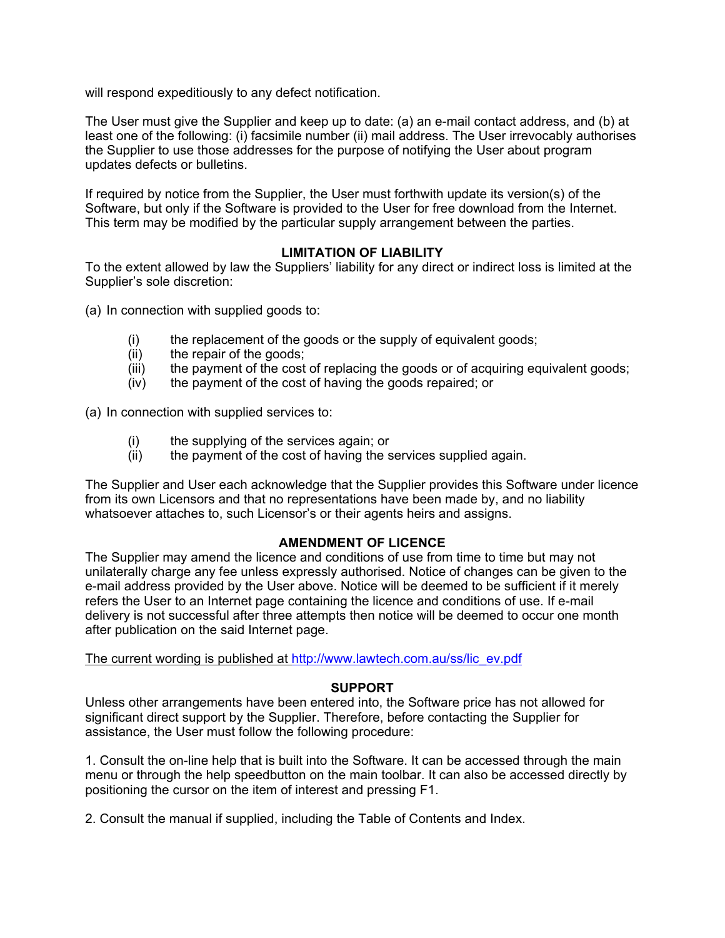will respond expeditiously to any defect notification.

The User must give the Supplier and keep up to date: (a) an e-mail contact address, and (b) at least one of the following: (i) facsimile number (ii) mail address. The User irrevocably authorises the Supplier to use those addresses for the purpose of notifying the User about program updates defects or bulletins.

If required by notice from the Supplier, the User must forthwith update its version(s) of the Software, but only if the Software is provided to the User for free download from the Internet. This term may be modified by the particular supply arrangement between the parties.

# **LIMITATION OF LIABILITY**

To the extent allowed by law the Suppliers' liability for any direct or indirect loss is limited at the Supplier's sole discretion:

(a) In connection with supplied goods to:

- (i) the replacement of the goods or the supply of equivalent goods;
- (ii) the repair of the goods;
- (iii) the payment of the cost of replacing the goods or of acquiring equivalent goods;
- (iv) the payment of the cost of having the goods repaired; or

(a) In connection with supplied services to:

- (i) the supplying of the services again; or
- (ii) the payment of the cost of having the services supplied again.

The Supplier and User each acknowledge that the Supplier provides this Software under licence from its own Licensors and that no representations have been made by, and no liability whatsoever attaches to, such Licensor's or their agents heirs and assigns.

### **AMENDMENT OF LICENCE**

The Supplier may amend the licence and conditions of use from time to time but may not unilaterally charge any fee unless expressly authorised. Notice of changes can be given to the e-mail address provided by the User above. Notice will be deemed to be sufficient if it merely refers the User to an Internet page containing the licence and conditions of use. If e-mail delivery is not successful after three attempts then notice will be deemed to occur one month after publication on the said Internet page.

The current wording is published at http://www.lawtech.com.au/ss/lic\_ev.pdf

### **SUPPORT**

Unless other arrangements have been entered into, the Software price has not allowed for significant direct support by the Supplier. Therefore, before contacting the Supplier for assistance, the User must follow the following procedure:

1. Consult the on-line help that is built into the Software. It can be accessed through the main menu or through the help speedbutton on the main toolbar. It can also be accessed directly by positioning the cursor on the item of interest and pressing F1.

2. Consult the manual if supplied, including the Table of Contents and Index.